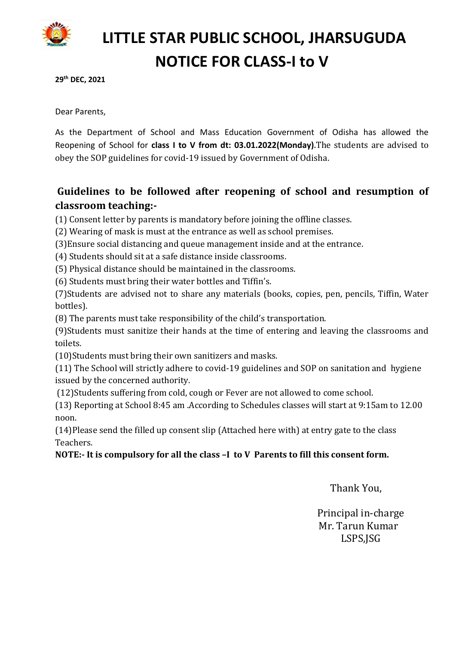

# **LITTLE STAR PUBLIC SCHOOL, JHARSUGUDA NOTICE FOR CLASS-I to V**

**29th DEC, 2021**

Dear Parents,

As the Department of School and Mass Education Government of Odisha has allowed the Reopening of School for **class I to V from dt: 03.01.2022(Monday).**The students are advised to obey the SOP guidelines for covid-19 issued by Government of Odisha.

## **Guidelines to be followed after reopening of school and resumption of classroom teaching:-**

(1) Consent letter by parents is mandatory before joining the offline classes.

(2) Wearing of mask is must at the entrance as well as school premises.

(3)Ensure social distancing and queue management inside and at the entrance.

(4) Students should sit at a safe distance inside classrooms.

(5) Physical distance should be maintained in the classrooms.

(6) Students must bring their water bottles and Tiffin's.

(7)Students are advised not to share any materials (books, copies, pen, pencils, Tiffin, Water bottles).

(8) The parents must take responsibility of the child's transportation.

(9)Students must sanitize their hands at the time of entering and leaving the classrooms and toilets.

(10)Students must bring their own sanitizers and masks.

(11) The School will strictly adhere to covid-19 guidelines and SOP on sanitation and hygiene issued by the concerned authority.

(12)Students suffering from cold, cough or Fever are not allowed to come school.

(13) Reporting at School 8:45 am .According to Schedules classes will start at 9:15am to 12.00 noon.

(14)Please send the filled up consent slip (Attached here with) at entry gate to the class Teachers.

### **NOTE:- It is compulsory for all the class –I to V Parents to fill this consent form.**

Thank You,

 Principal in-charge Mr. Tarun Kumar LSPS,JSG